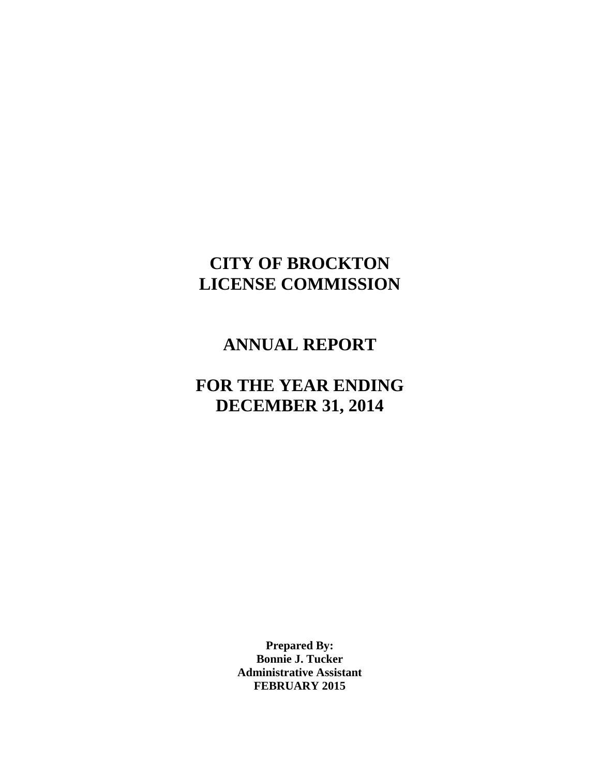# **CITY OF BROCKTON LICENSE COMMISSION**

## **ANNUAL REPORT**

# **FOR THE YEAR ENDING DECEMBER 31, 2014**

**Prepared By: Bonnie J. Tucker Administrative Assistant FEBRUARY 2015**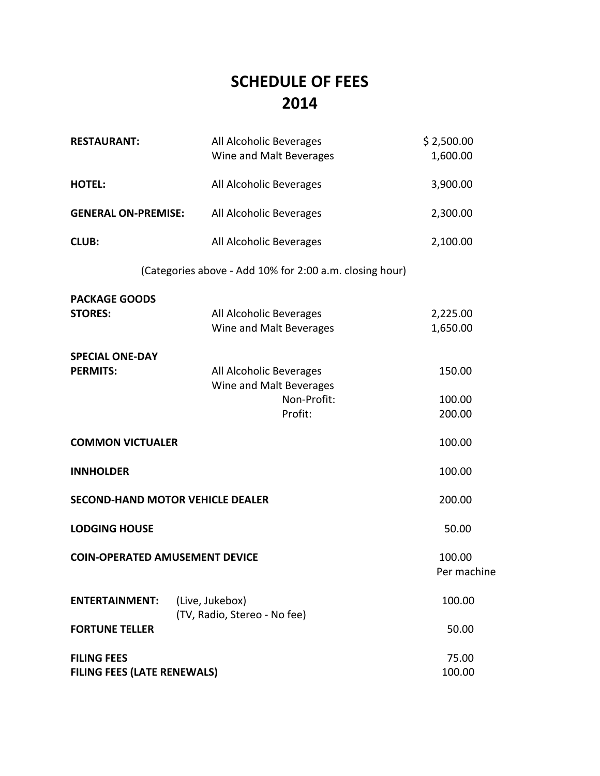# **SCHEDULE OF FEES 2014**

| <b>RESTAURANT:</b>                                       | All Alcoholic Beverages<br>Wine and Malt Beverages                           | \$2,500.00<br>1,600.00     |
|----------------------------------------------------------|------------------------------------------------------------------------------|----------------------------|
| <b>HOTEL:</b>                                            | All Alcoholic Beverages                                                      | 3,900.00                   |
| <b>GENERAL ON-PREMISE:</b>                               | All Alcoholic Beverages                                                      | 2,300.00                   |
| <b>CLUB:</b>                                             | All Alcoholic Beverages                                                      | 2,100.00                   |
|                                                          | (Categories above - Add 10% for 2:00 a.m. closing hour)                      |                            |
| <b>PACKAGE GOODS</b><br><b>STORES:</b>                   | All Alcoholic Beverages<br>Wine and Malt Beverages                           | 2,225.00<br>1,650.00       |
| <b>SPECIAL ONE-DAY</b><br><b>PERMITS:</b>                | All Alcoholic Beverages<br>Wine and Malt Beverages<br>Non-Profit:<br>Profit: | 150.00<br>100.00<br>200.00 |
| <b>COMMON VICTUALER</b>                                  |                                                                              | 100.00                     |
| <b>INNHOLDER</b>                                         |                                                                              | 100.00                     |
|                                                          | <b>SECOND-HAND MOTOR VEHICLE DEALER</b>                                      | 200.00                     |
| <b>LODGING HOUSE</b>                                     |                                                                              | 50.00                      |
| <b>COIN-OPERATED AMUSEMENT DEVICE</b>                    |                                                                              | 100.00<br>Per machine      |
| <b>ENTERTAINMENT:</b>                                    | (Live, Jukebox)<br>(TV, Radio, Stereo - No fee)                              | 100.00                     |
| <b>FORTUNE TELLER</b>                                    |                                                                              | 50.00                      |
| <b>FILING FEES</b><br><b>FILING FEES (LATE RENEWALS)</b> |                                                                              | 75.00<br>100.00            |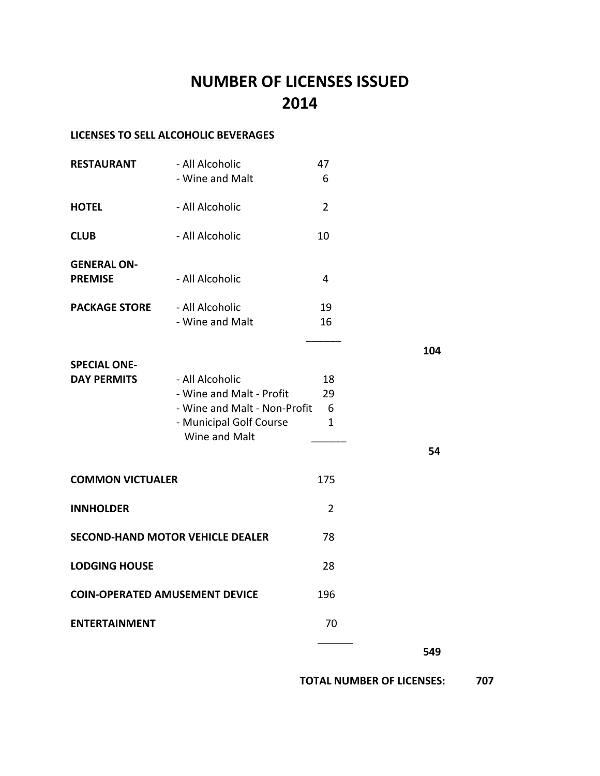# **NUMBER OF LICENSES ISSUED 2014**

### **LICENSES TO SELL ALCOHOLIC BEVERAGES**

| <b>RESTAURANT</b>                         | - All Alcoholic<br>- Wine and Malt                                                                                      | 47<br>6                                     |     |
|-------------------------------------------|-------------------------------------------------------------------------------------------------------------------------|---------------------------------------------|-----|
| <b>HOTEL</b>                              | - All Alcoholic                                                                                                         | $\overline{2}$                              |     |
| <b>CLUB</b>                               | - All Alcoholic                                                                                                         | 10                                          |     |
| <b>GENERAL ON-</b><br><b>PREMISE</b>      | - All Alcoholic                                                                                                         | 4                                           |     |
| <b>PACKAGE STORE</b>                      | - All Alcoholic<br>- Wine and Malt                                                                                      | 19<br>16                                    |     |
|                                           |                                                                                                                         |                                             | 104 |
| <b>SPECIAL ONE-</b><br><b>DAY PERMITS</b> | - All Alcoholic<br>- Wine and Malt - Profit<br>- Wine and Malt - Non-Profit<br>- Municipal Golf Course<br>Wine and Malt | 18<br>29<br>$6\overline{6}$<br>$\mathbf{1}$ |     |
|                                           |                                                                                                                         |                                             | 54  |
| <b>COMMON VICTUALER</b>                   |                                                                                                                         | 175                                         |     |
| <b>INNHOLDER</b>                          |                                                                                                                         | $\overline{2}$                              |     |
| <b>SECOND-HAND MOTOR VEHICLE DEALER</b>   |                                                                                                                         | 78                                          |     |
| <b>LODGING HOUSE</b>                      |                                                                                                                         | 28                                          |     |
| <b>COIN-OPERATED AMUSEMENT DEVICE</b>     |                                                                                                                         | 196                                         |     |
| <b>ENTERTAINMENT</b>                      |                                                                                                                         | 70                                          |     |
|                                           |                                                                                                                         |                                             | 549 |

 **TOTAL NUMBER OF LICENSES: 707**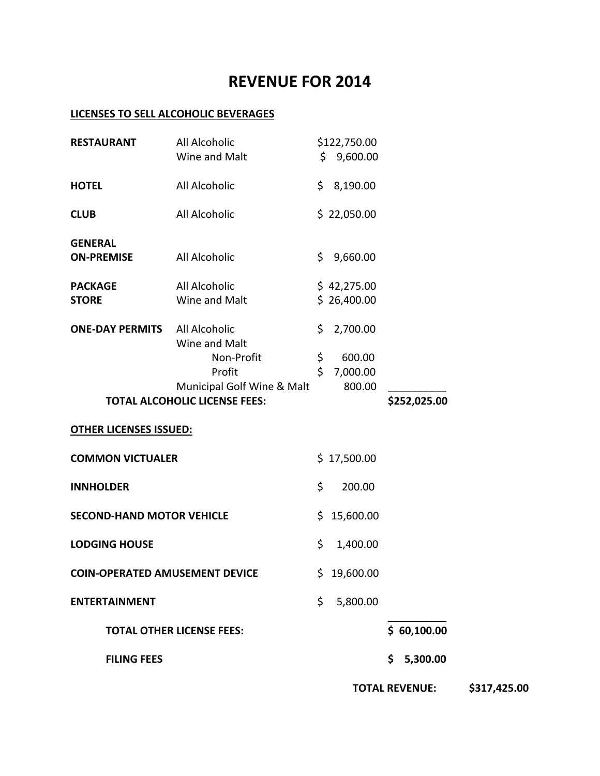## **REVENUE FOR 2014**

#### **LICENSES TO SELL ALCOHOLIC BEVERAGES**

| <b>RESTAURANT</b>                     | All Alcoholic                                                      |     | \$122,750.00 |     |                       |              |
|---------------------------------------|--------------------------------------------------------------------|-----|--------------|-----|-----------------------|--------------|
|                                       | Wine and Malt                                                      |     | \$9,600.00   |     |                       |              |
| <b>HOTEL</b>                          | All Alcoholic                                                      |     | \$3,190.00   |     |                       |              |
| <b>CLUB</b>                           | All Alcoholic                                                      |     | \$22,050.00  |     |                       |              |
| <b>GENERAL</b>                        |                                                                    |     |              |     |                       |              |
| <b>ON-PREMISE</b>                     | All Alcoholic                                                      | \$. | 9,660.00     |     |                       |              |
| <b>PACKAGE</b>                        | All Alcoholic                                                      |     | \$42,275.00  |     |                       |              |
| <b>STORE</b>                          | Wine and Malt                                                      |     | \$26,400.00  |     |                       |              |
| <b>ONE-DAY PERMITS</b>                | All Alcoholic<br>Wine and Malt                                     | \$. | 2,700.00     |     |                       |              |
|                                       | Non-Profit                                                         | \$  | 600.00       |     |                       |              |
|                                       | Profit                                                             | \$  | 7,000.00     |     |                       |              |
|                                       | Municipal Golf Wine & Malt<br><b>TOTAL ALCOHOLIC LICENSE FEES:</b> |     | 800.00       |     | \$252,025.00          |              |
| <b>OTHER LICENSES ISSUED:</b>         |                                                                    |     |              |     |                       |              |
| <b>COMMON VICTUALER</b>               |                                                                    |     | \$17,500.00  |     |                       |              |
| <b>INNHOLDER</b>                      |                                                                    | \$  | 200.00       |     |                       |              |
| <b>SECOND-HAND MOTOR VEHICLE</b>      |                                                                    |     | \$15,600.00  |     |                       |              |
| <b>LODGING HOUSE</b>                  |                                                                    | \$  | 1,400.00     |     |                       |              |
| <b>COIN-OPERATED AMUSEMENT DEVICE</b> |                                                                    |     | \$19,600.00  |     |                       |              |
| <b>ENTERTAINMENT</b>                  |                                                                    | \$  | 5,800.00     |     |                       |              |
|                                       | <b>TOTAL OTHER LICENSE FEES:</b>                                   |     |              |     | \$60,100.00           |              |
| <b>FILING FEES</b>                    |                                                                    |     |              | \$. | 5,300.00              |              |
|                                       |                                                                    |     |              |     | <b>TOTAL REVENUE:</b> | \$317,425.00 |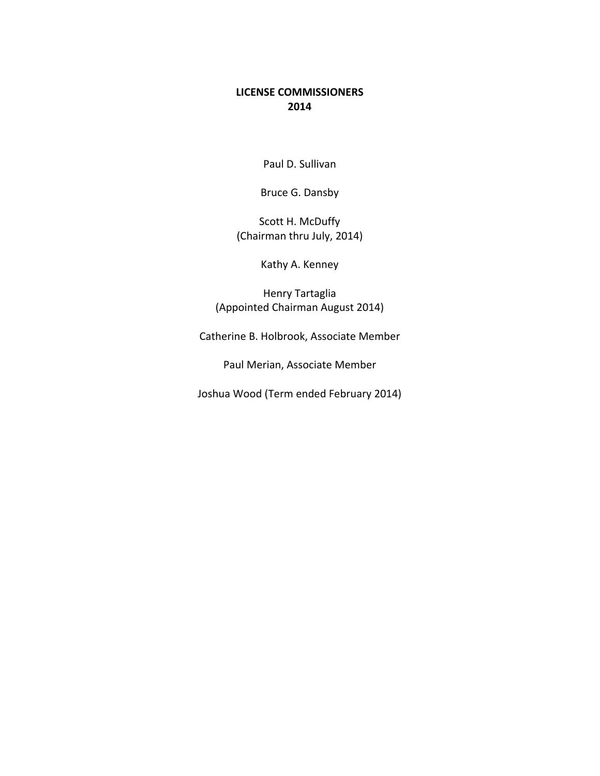#### **LICENSE COMMISSIONERS 2014**

Paul D. Sullivan

Bruce G. Dansby

Scott H. McDuffy (Chairman thru July, 2014)

Kathy A. Kenney

Henry Tartaglia (Appointed Chairman August 2014)

Catherine B. Holbrook, Associate Member

Paul Merian, Associate Member

Joshua Wood (Term ended February 2014)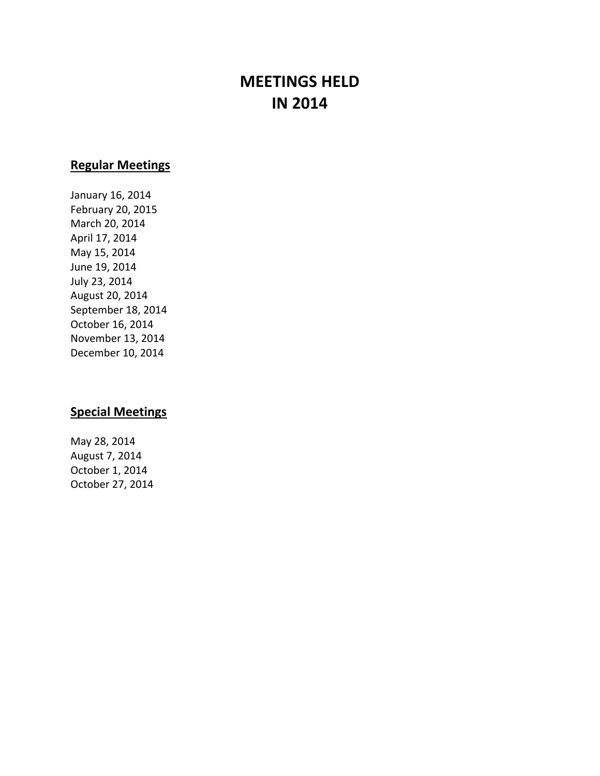# **MEETINGS HELD IN 2014**

### **Regular Meetings**

January 16, 2014 February 20, 2015 March 20, 2014 April 17, 2014 May 15, 2014 June 19, 2014 July 23, 2014 August 20, 2014 September 18, 2014 October 16, 2014 November 13, 2014 December 10, 2014

#### **Special Meetings**

May 28, 2014 August 7, 2014 October 1, 2014 October 27, 2014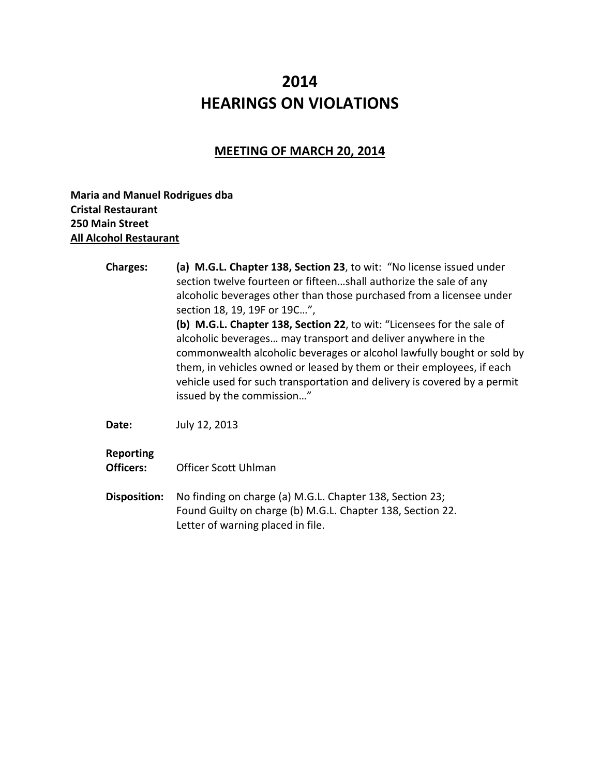# **2014 HEARINGS ON VIOLATIONS**

### **MEETING OF MARCH 20, 2014**

**Maria and Manuel Rodrigues dba Cristal Restaurant 250 Main Street All Alcohol Restaurant** 

| <b>Charges:</b>                      | (a) M.G.L. Chapter 138, Section 23, to wit: "No license issued under<br>section twelve fourteen or fifteenshall authorize the sale of any<br>alcoholic beverages other than those purchased from a licensee under<br>section 18, 19, 19F or 19C",<br>(b) M.G.L. Chapter 138, Section 22, to wit: "Licensees for the sale of<br>alcoholic beverages may transport and deliver anywhere in the<br>commonwealth alcoholic beverages or alcohol lawfully bought or sold by<br>them, in vehicles owned or leased by them or their employees, if each<br>vehicle used for such transportation and delivery is covered by a permit<br>issued by the commission" |
|--------------------------------------|----------------------------------------------------------------------------------------------------------------------------------------------------------------------------------------------------------------------------------------------------------------------------------------------------------------------------------------------------------------------------------------------------------------------------------------------------------------------------------------------------------------------------------------------------------------------------------------------------------------------------------------------------------|
| Date:                                | July 12, 2013                                                                                                                                                                                                                                                                                                                                                                                                                                                                                                                                                                                                                                            |
| <b>Reporting</b><br><b>Officers:</b> | Officer Scott Uhlman                                                                                                                                                                                                                                                                                                                                                                                                                                                                                                                                                                                                                                     |
| Disposition:                         | No finding on charge (a) M.G.L. Chapter 138, Section 23;<br>Found Guilty on charge (b) M.G.L. Chapter 138, Section 22.<br>Letter of warning placed in file.                                                                                                                                                                                                                                                                                                                                                                                                                                                                                              |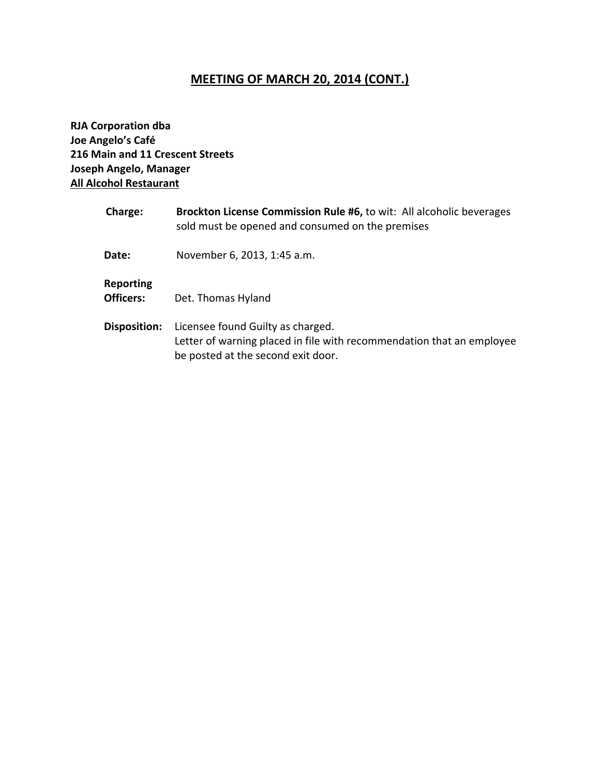### **MEETING OF MARCH 20, 2014 (CONT.)**

**RJA Corporation dba Joe Angelo's Café 216 Main and 11 Crescent Streets Joseph Angelo, Manager All Alcohol Restaurant**

| Charge:                | Brockton License Commission Rule #6, to wit: All alcoholic beverages<br>sold must be opened and consumed on the premises                         |
|------------------------|--------------------------------------------------------------------------------------------------------------------------------------------------|
| Date:                  | November 6, 2013, 1:45 a.m.                                                                                                                      |
| Reporting<br>Officers: | Det. Thomas Hyland                                                                                                                               |
| <b>Disposition:</b>    | Licensee found Guilty as charged.<br>Letter of warning placed in file with recommendation that an employee<br>be posted at the second exit door. |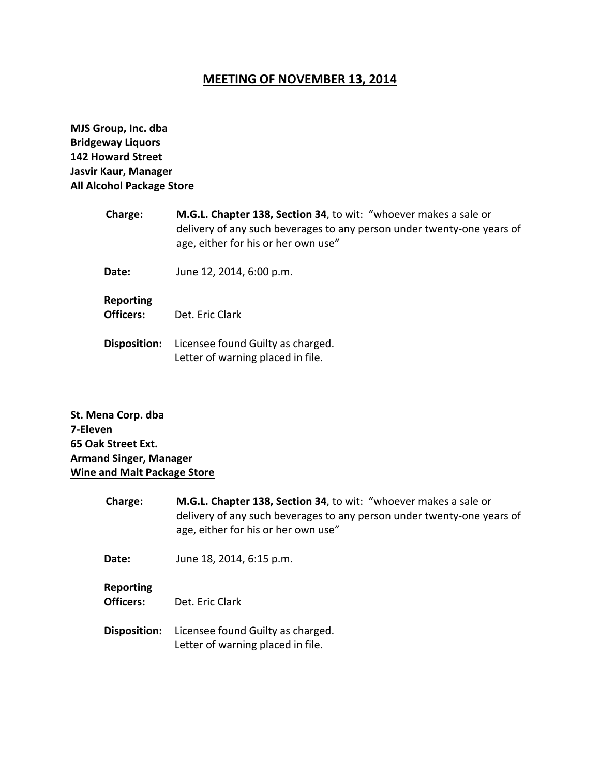### **MEETING OF NOVEMBER 13, 2014**

**MJS Group, Inc. dba Bridgeway Liquors 142 Howard Street Jasvir Kaur, Manager All Alcohol Package Store**

| <b>Charge:</b>                | M.G.L. Chapter 138, Section 34, to wit: "whoever makes a sale or<br>delivery of any such beverages to any person under twenty-one years of<br>age, either for his or her own use" |
|-------------------------------|-----------------------------------------------------------------------------------------------------------------------------------------------------------------------------------|
| Date:                         | June 12, 2014, 6:00 p.m.                                                                                                                                                          |
| <b>Reporting</b><br>Officers: | Det. Eric Clark                                                                                                                                                                   |
| <b>Disposition:</b>           | Licensee found Guilty as charged.<br>Letter of warning placed in file.                                                                                                            |

**St. Mena Corp. dba 7‐Eleven 65 Oak Street Ext. Armand Singer, Manager Wine and Malt Package Store**

| <b>Charge:</b>                       | M.G.L. Chapter 138, Section 34, to wit: "whoever makes a sale or<br>delivery of any such beverages to any person under twenty-one years of<br>age, either for his or her own use" |
|--------------------------------------|-----------------------------------------------------------------------------------------------------------------------------------------------------------------------------------|
| Date:                                | June 18, 2014, 6:15 p.m.                                                                                                                                                          |
| <b>Reporting</b><br><b>Officers:</b> | Det. Fric Clark                                                                                                                                                                   |
| Disposition:                         | Licensee found Guilty as charged.<br>Letter of warning placed in file.                                                                                                            |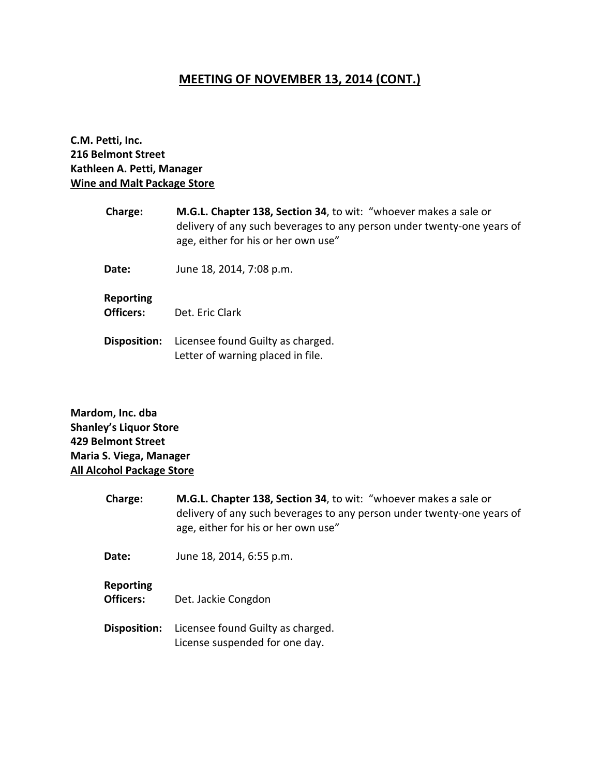### **MEETING OF NOVEMBER 13, 2014 (CONT.)**

**C.M. Petti, Inc. 216 Belmont Street Kathleen A. Petti, Manager Wine and Malt Package Store**

| <b>Charge:</b>                | M.G.L. Chapter 138, Section 34, to wit: "whoever makes a sale or<br>delivery of any such beverages to any person under twenty-one years of<br>age, either for his or her own use" |
|-------------------------------|-----------------------------------------------------------------------------------------------------------------------------------------------------------------------------------|
| <b>Date:</b>                  | June 18, 2014, 7:08 p.m.                                                                                                                                                          |
| <b>Reporting</b><br>Officers: | Det. Eric Clark                                                                                                                                                                   |
| <b>Disposition:</b>           | Licensee found Guilty as charged.<br>Letter of warning placed in file.                                                                                                            |

**Mardom, Inc. dba Shanley's Liquor Store 429 Belmont Street Maria S. Viega, Manager All Alcohol Package Store**

| Charge:                       | M.G.L. Chapter 138, Section 34, to wit: "whoever makes a sale or<br>delivery of any such beverages to any person under twenty-one years of<br>age, either for his or her own use" |
|-------------------------------|-----------------------------------------------------------------------------------------------------------------------------------------------------------------------------------|
| Date:                         | June 18, 2014, 6:55 p.m.                                                                                                                                                          |
| <b>Reporting</b><br>Officers: | Det. Jackie Congdon                                                                                                                                                               |
| Disposition:                  | Licensee found Guilty as charged.<br>License suspended for one day.                                                                                                               |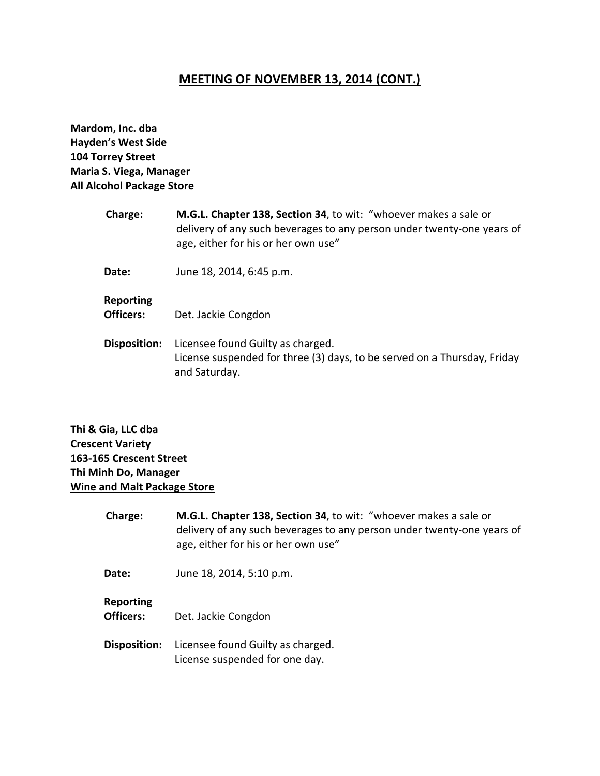### **MEETING OF NOVEMBER 13, 2014 (CONT.)**

**Mardom, Inc. dba Hayden's West Side 104 Torrey Street Maria S. Viega, Manager All Alcohol Package Store**

| Charge:                       | M.G.L. Chapter 138, Section 34, to wit: "whoever makes a sale or<br>delivery of any such beverages to any person under twenty-one years of<br>age, either for his or her own use" |
|-------------------------------|-----------------------------------------------------------------------------------------------------------------------------------------------------------------------------------|
| Date:                         | June 18, 2014, 6:45 p.m.                                                                                                                                                          |
| <b>Reporting</b><br>Officers: | Det. Jackie Congdon                                                                                                                                                               |
| <b>Disposition:</b>           | Licensee found Guilty as charged.<br>License suspended for three (3) days, to be served on a Thursday, Friday<br>and Saturday.                                                    |

**Thi & Gia, LLC dba Crescent Variety 163‐165 Crescent Street Thi Minh Do, Manager Wine and Malt Package Store**

| Charge:                       | M.G.L. Chapter 138, Section 34, to wit: "whoever makes a sale or<br>delivery of any such beverages to any person under twenty-one years of<br>age, either for his or her own use" |
|-------------------------------|-----------------------------------------------------------------------------------------------------------------------------------------------------------------------------------|
| Date:                         | June 18, 2014, 5:10 p.m.                                                                                                                                                          |
| <b>Reporting</b><br>Officers: | Det. Jackie Congdon                                                                                                                                                               |
| Disposition:                  | Licensee found Guilty as charged.<br>License suspended for one day.                                                                                                               |